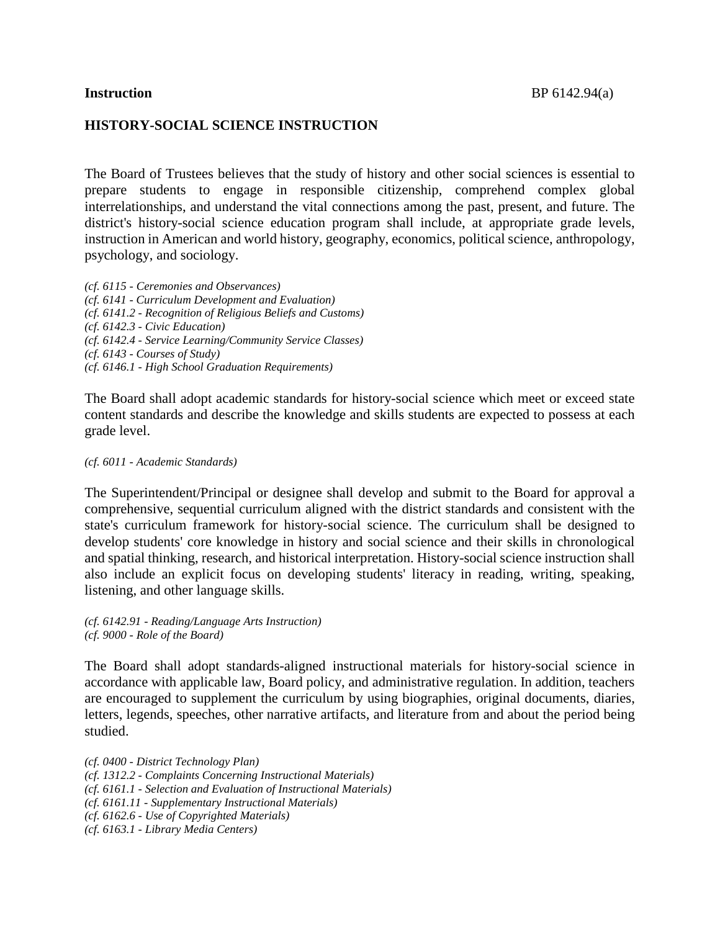## **HISTORY-SOCIAL SCIENCE INSTRUCTION**

The Board of Trustees believes that the study of history and other social sciences is essential to prepare students to engage in responsible citizenship, comprehend complex global interrelationships, and understand the vital connections among the past, present, and future. The district's history-social science education program shall include, at appropriate grade levels, instruction in American and world history, geography, economics, political science, anthropology, psychology, and sociology.

*(cf. 6115 - Ceremonies and Observances) (cf. 6141 - Curriculum Development and Evaluation) (cf. 6141.2 - Recognition of Religious Beliefs and Customs) (cf. 6142.3 - Civic Education) (cf. 6142.4 - Service Learning/Community Service Classes) (cf. 6143 - Courses of Study) (cf. 6146.1 - High School Graduation Requirements)*

The Board shall adopt academic standards for history-social science which meet or exceed state content standards and describe the knowledge and skills students are expected to possess at each grade level.

### *(cf. 6011 - Academic Standards)*

The Superintendent/Principal or designee shall develop and submit to the Board for approval a comprehensive, sequential curriculum aligned with the district standards and consistent with the state's curriculum framework for history-social science. The curriculum shall be designed to develop students' core knowledge in history and social science and their skills in chronological and spatial thinking, research, and historical interpretation. History-social science instruction shall also include an explicit focus on developing students' literacy in reading, writing, speaking, listening, and other language skills.

*(cf. 6142.91 - Reading/Language Arts Instruction) (cf. 9000 - Role of the Board)*

The Board shall adopt standards-aligned instructional materials for history-social science in accordance with applicable law, Board policy, and administrative regulation. In addition, teachers are encouraged to supplement the curriculum by using biographies, original documents, diaries, letters, legends, speeches, other narrative artifacts, and literature from and about the period being studied.

*(cf. 0400 - District Technology Plan) (cf. 1312.2 - Complaints Concerning Instructional Materials) (cf. 6161.1 - Selection and Evaluation of Instructional Materials) (cf. 6161.11 - Supplementary Instructional Materials) (cf. 6162.6 - Use of Copyrighted Materials) (cf. 6163.1 - Library Media Centers)*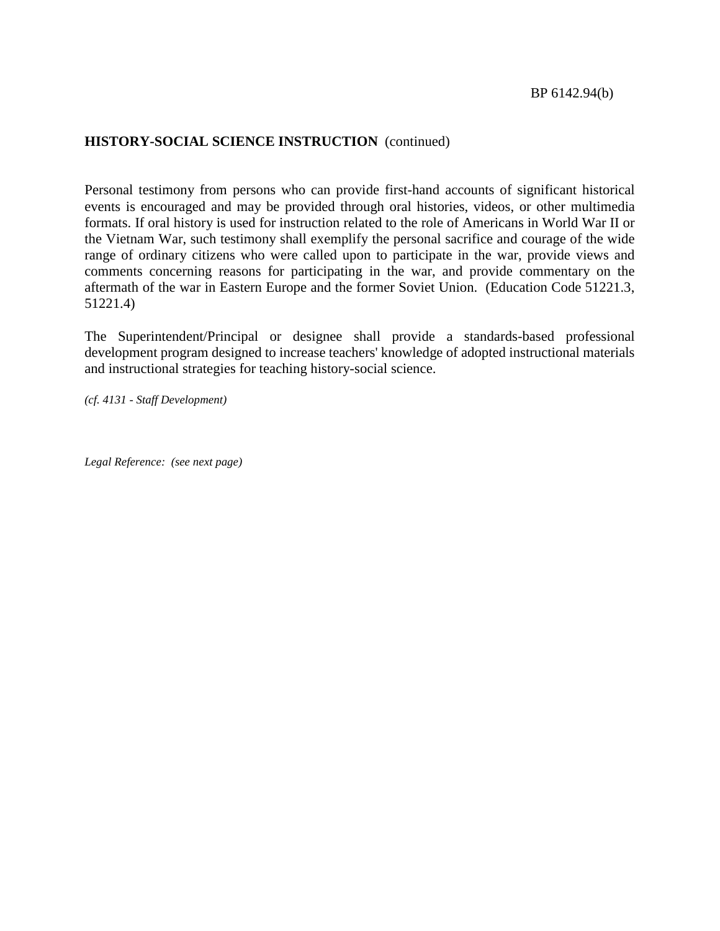# **HISTORY-SOCIAL SCIENCE INSTRUCTION** (continued)

Personal testimony from persons who can provide first-hand accounts of significant historical events is encouraged and may be provided through oral histories, videos, or other multimedia formats. If oral history is used for instruction related to the role of Americans in World War II or the Vietnam War, such testimony shall exemplify the personal sacrifice and courage of the wide range of ordinary citizens who were called upon to participate in the war, provide views and comments concerning reasons for participating in the war, and provide commentary on the aftermath of the war in Eastern Europe and the former Soviet Union. (Education Code 51221.3, 51221.4)

The Superintendent/Principal or designee shall provide a standards-based professional development program designed to increase teachers' knowledge of adopted instructional materials and instructional strategies for teaching history-social science.

*(cf. 4131 - Staff Development)*

*Legal Reference: (see next page)*